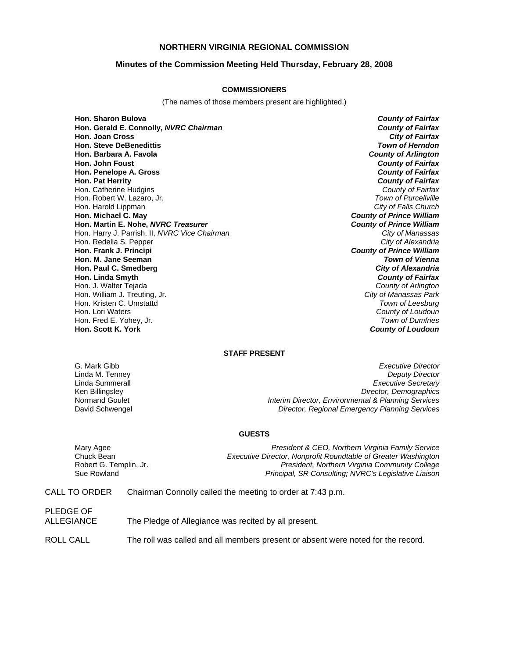## **NORTHERN VIRGINIA REGIONAL COMMISSION**

## **Minutes of the Commission Meeting Held Thursday, February 28, 2008**

#### **COMMISSIONERS**

(The names of those members present are highlighted.)

**Hon. Sharon Bulova** *County of Fairfax* **Hon. Gerald E. Connolly,** *NVRC Chairman County of Fairfax* **Hon. Joan Cross Hon. Steve DeBenedittis** *Town of Herndon* **Hon. Barbara A. Favola** *County of Arlington* **Hon. John Foust** *County of Fairfax* **Hon. Penelope A. Gross Hon. Pat Herrity** *County of Fairfax* Hon. Catherine Hudgins *County of Fairfax* Hon. Robert W. Lazaro, Jr. *Town of Purcellville* Hon. Harold Lippman<br>**Hon. Michael C. May Hon. Martin E. Nohe,** *NVRC Treasurer County of Prince William* Hon. Harry J. Parrish, II, *NVRC Vice Chairman City of Manassas* Hon. Redella S. Pepper **Hon. Frank J. Principi** *County of Prince William* **Hon. M. Jane Seeman** *Town of Vienna* **Hon. Paul C. Smedberg** *City of Alexandria* **Hon. Linda Smyth** *County of Fairfax* Hon. J. Walter Tejada *County of Arlington* Hon. William J. Treuting, Jr. *City of Manassas Park* Hon. Kristen C. Umstattd<br>Hon. Lori Waters Hon. Fred E. Yohey, Jr. *Town of Dumfries*

**County of Prince William** County of Loudoun **Hon. Scott K. York** *County of Loudoun*

#### **STAFF PRESENT**

G. Mark Gibb *Executive Director* **Deputy Director** Linda Summerall *Executive Secretary* Ken Billingsley *Director, Demographics* Normand Goulet *Interim Director, Environmental & Planning Services* David Schwengel *Director, Regional Emergency Planning Services*

#### **GUESTS**

Mary Agee *President & CEO, Northern Virginia Family Service* Chuck Bean *Executive Director, Nonprofit Roundtable of Greater Washington* Robert G. Templin, Jr. *President, Northern Virginia Community College* Sue Rowland *Principal, SR Consulting; NVRC's Legislative Liaison*

CALL TO ORDER Chairman Connolly called the meeting to order at 7:43 p.m.

PLEDGE OF

ALLEGIANCE The Pledge of Allegiance was recited by all present.

ROLL CALL The roll was called and all members present or absent were noted for the record.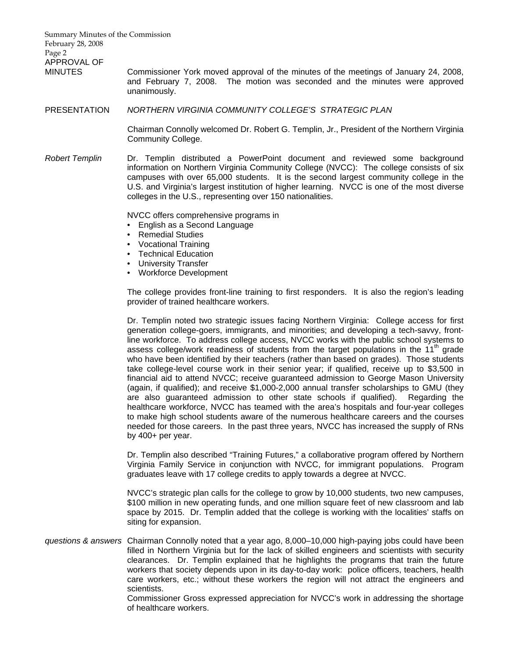| Summary Minutes of the Commission<br>February 28, 2008 |                                                                                                                                                                                                                                                                                                                                                                                                                                                                                                                                                                                                                                                                                                                                                                                                                                                                                                                                                                                                                                                                                                                                                                    |
|--------------------------------------------------------|--------------------------------------------------------------------------------------------------------------------------------------------------------------------------------------------------------------------------------------------------------------------------------------------------------------------------------------------------------------------------------------------------------------------------------------------------------------------------------------------------------------------------------------------------------------------------------------------------------------------------------------------------------------------------------------------------------------------------------------------------------------------------------------------------------------------------------------------------------------------------------------------------------------------------------------------------------------------------------------------------------------------------------------------------------------------------------------------------------------------------------------------------------------------|
| Page 2                                                 |                                                                                                                                                                                                                                                                                                                                                                                                                                                                                                                                                                                                                                                                                                                                                                                                                                                                                                                                                                                                                                                                                                                                                                    |
| APPROVAL OF<br><b>MINUTES</b>                          | Commissioner York moved approval of the minutes of the meetings of January 24, 2008,<br>and February 7, 2008. The motion was seconded and the minutes were approved<br>unanimously.                                                                                                                                                                                                                                                                                                                                                                                                                                                                                                                                                                                                                                                                                                                                                                                                                                                                                                                                                                                |
| <b>PRESENTATION</b>                                    | NORTHERN VIRGINIA COMMUNITY COLLEGE'S STRATEGIC PLAN                                                                                                                                                                                                                                                                                                                                                                                                                                                                                                                                                                                                                                                                                                                                                                                                                                                                                                                                                                                                                                                                                                               |
|                                                        | Chairman Connolly welcomed Dr. Robert G. Templin, Jr., President of the Northern Virginia<br>Community College.                                                                                                                                                                                                                                                                                                                                                                                                                                                                                                                                                                                                                                                                                                                                                                                                                                                                                                                                                                                                                                                    |
| <b>Robert Templin</b>                                  | Dr. Templin distributed a PowerPoint document and reviewed some background<br>information on Northern Virginia Community College (NVCC): The college consists of six<br>campuses with over 65,000 students. It is the second largest community college in the<br>U.S. and Virginia's largest institution of higher learning. NVCC is one of the most diverse<br>colleges in the U.S., representing over 150 nationalities.                                                                                                                                                                                                                                                                                                                                                                                                                                                                                                                                                                                                                                                                                                                                         |
|                                                        | NVCC offers comprehensive programs in<br>English as a Second Language<br><b>Remedial Studies</b><br>Vocational Training<br><b>Technical Education</b><br><b>University Transfer</b><br>• Workforce Development                                                                                                                                                                                                                                                                                                                                                                                                                                                                                                                                                                                                                                                                                                                                                                                                                                                                                                                                                     |
|                                                        | The college provides front-line training to first responders. It is also the region's leading<br>provider of trained healthcare workers.                                                                                                                                                                                                                                                                                                                                                                                                                                                                                                                                                                                                                                                                                                                                                                                                                                                                                                                                                                                                                           |
|                                                        | Dr. Templin noted two strategic issues facing Northern Virginia: College access for first<br>generation college-goers, immigrants, and minorities; and developing a tech-savvy, front-<br>line workforce. To address college access, NVCC works with the public school systems to<br>assess college/work readiness of students from the target populations in the 11 <sup>th</sup> grade<br>who have been identified by their teachers (rather than based on grades). Those students<br>take college-level course work in their senior year; if qualified, receive up to \$3,500 in<br>financial aid to attend NVCC; receive guaranteed admission to George Mason University<br>(again, if qualified); and receive \$1,000-2,000 annual transfer scholarships to GMU (they<br>are also guaranteed admission to other state schools if qualified). Regarding the<br>healthcare workforce, NVCC has teamed with the area's hospitals and four-year colleges<br>to make high school students aware of the numerous healthcare careers and the courses<br>needed for those careers. In the past three years, NVCC has increased the supply of RNs<br>by 400+ per year. |
|                                                        | Dr. Templin also described "Training Futures," a collaborative program offered by Northern<br>Virginia Family Service in conjunction with NVCC, for immigrant populations. Program<br>graduates leave with 17 college credits to apply towards a degree at NVCC.                                                                                                                                                                                                                                                                                                                                                                                                                                                                                                                                                                                                                                                                                                                                                                                                                                                                                                   |
|                                                        | NVCC's strategic plan calls for the college to grow by 10,000 students, two new campuses,<br>\$100 million in new operating funds, and one million square feet of new classroom and lab<br>space by 2015. Dr. Templin added that the college is working with the localities' staffs on<br>siting for expansion.                                                                                                                                                                                                                                                                                                                                                                                                                                                                                                                                                                                                                                                                                                                                                                                                                                                    |
|                                                        | questions & answers Chairman Connolly noted that a year ago, 8,000-10,000 high-paying jobs could have been<br>filled in Northern Virginia but for the lack of skilled engineers and scientists with security<br>clearances. Dr. Templin explained that he highlights the programs that train the future<br>workers that society depends upon in its day-to-day work: police officers, teachers, health<br>care workers, etc.; without these workers the region will not attract the engineers and                                                                                                                                                                                                                                                                                                                                                                                                                                                                                                                                                                                                                                                                  |

scientists.

Commissioner Gross expressed appreciation for NVCC's work in addressing the shortage of healthcare workers.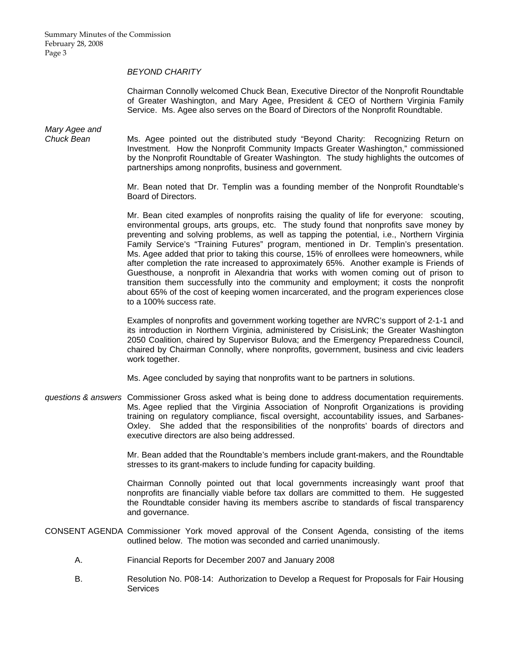## *BEYOND CHARITY*

Chairman Connolly welcomed Chuck Bean, Executive Director of the Nonprofit Roundtable of Greater Washington, and Mary Agee, President & CEO of Northern Virginia Family Service. Ms. Agee also serves on the Board of Directors of the Nonprofit Roundtable.

*Mary Agee and* 

*Chuck Bean* Ms. Agee pointed out the distributed study "Beyond Charity: Recognizing Return on Investment. How the Nonprofit Community Impacts Greater Washington," commissioned by the Nonprofit Roundtable of Greater Washington. The study highlights the outcomes of partnerships among nonprofits, business and government.

> Mr. Bean noted that Dr. Templin was a founding member of the Nonprofit Roundtable's Board of Directors.

> Mr. Bean cited examples of nonprofits raising the quality of life for everyone: scouting, environmental groups, arts groups, etc. The study found that nonprofits save money by preventing and solving problems, as well as tapping the potential, i.e., Northern Virginia Family Service's "Training Futures" program, mentioned in Dr. Templin's presentation. Ms. Agee added that prior to taking this course, 15% of enrollees were homeowners, while after completion the rate increased to approximately 65%. Another example is Friends of Guesthouse, a nonprofit in Alexandria that works with women coming out of prison to transition them successfully into the community and employment; it costs the nonprofit about 65% of the cost of keeping women incarcerated, and the program experiences close to a 100% success rate.

> Examples of nonprofits and government working together are NVRC's support of 2-1-1 and its introduction in Northern Virginia, administered by CrisisLink; the Greater Washington 2050 Coalition, chaired by Supervisor Bulova; and the Emergency Preparedness Council, chaired by Chairman Connolly, where nonprofits, government, business and civic leaders work together.

Ms. Agee concluded by saying that nonprofits want to be partners in solutions.

*questions & answers* Commissioner Gross asked what is being done to address documentation requirements. Ms. Agee replied that the Virginia Association of Nonprofit Organizations is providing training on regulatory compliance, fiscal oversight, accountability issues, and Sarbanes-Oxley. She added that the responsibilities of the nonprofits' boards of directors and executive directors are also being addressed.

> Mr. Bean added that the Roundtable's members include grant-makers, and the Roundtable stresses to its grant-makers to include funding for capacity building.

> Chairman Connolly pointed out that local governments increasingly want proof that nonprofits are financially viable before tax dollars are committed to them. He suggested the Roundtable consider having its members ascribe to standards of fiscal transparency and governance.

CONSENT AGENDA Commissioner York moved approval of the Consent Agenda, consisting of the items outlined below. The motion was seconded and carried unanimously.

- A. Financial Reports for December 2007 and January 2008
- B. Resolution No. P08-14: Authorization to Develop a Request for Proposals for Fair Housing **Services**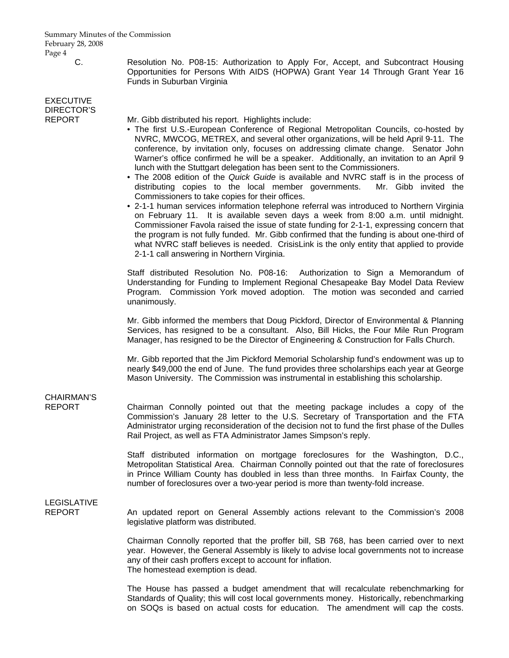Summary Minutes of the Commission February 28, 2008 Page 4

# EXECUTIVE DIRECTOR'S<br>REPORT

C. Resolution No. P08-15: Authorization to Apply For, Accept, and Subcontract Housing Opportunities for Persons With AIDS (HOPWA) Grant Year 14 Through Grant Year 16 Funds in Suburban Virginia

Mr. Gibb distributed his report. Highlights include:

- The first U.S.-European Conference of Regional Metropolitan Councils, co-hosted by NVRC, MWCOG, METREX, and several other organizations, will be held April 9-11. The conference, by invitation only, focuses on addressing climate change. Senator John Warner's office confirmed he will be a speaker. Additionally, an invitation to an April 9 lunch with the Stuttgart delegation has been sent to the Commissioners.
- The 2008 edition of the *Quick Guide* is available and NVRC staff is in the process of distributing copies to the local member governments. Mr. Gibb invited the Commissioners to take copies for their offices.
- 2-1-1 human services information telephone referral was introduced to Northern Virginia on February 11. It is available seven days a week from 8:00 a.m. until midnight. Commissioner Favola raised the issue of state funding for 2-1-1, expressing concern that the program is not fully funded. Mr. Gibb confirmed that the funding is about one-third of what NVRC staff believes is needed. CrisisLink is the only entity that applied to provide 2-1-1 call answering in Northern Virginia.

 Staff distributed Resolution No. P08-16: Authorization to Sign a Memorandum of Understanding for Funding to Implement Regional Chesapeake Bay Model Data Review Program. Commission York moved adoption. The motion was seconded and carried unanimously.

 Mr. Gibb informed the members that Doug Pickford, Director of Environmental & Planning Services, has resigned to be a consultant. Also, Bill Hicks, the Four Mile Run Program Manager, has resigned to be the Director of Engineering & Construction for Falls Church.

 Mr. Gibb reported that the Jim Pickford Memorial Scholarship fund's endowment was up to nearly \$49,000 the end of June. The fund provides three scholarships each year at George Mason University. The Commission was instrumental in establishing this scholarship.

# CHAIRMAN'S

REPORT Chairman Connolly pointed out that the meeting package includes a copy of the Commission's January 28 letter to the U.S. Secretary of Transportation and the FTA Administrator urging reconsideration of the decision not to fund the first phase of the Dulles Rail Project, as well as FTA Administrator James Simpson's reply.

> Staff distributed information on mortgage foreclosures for the Washington, D.C., Metropolitan Statistical Area. Chairman Connolly pointed out that the rate of foreclosures in Prince William County has doubled in less than three months. In Fairfax County, the number of foreclosures over a two-year period is more than twenty-fold increase.

# LEGISLATIVE

REPORT An updated report on General Assembly actions relevant to the Commission's 2008 legislative platform was distributed.

> Chairman Connolly reported that the proffer bill, SB 768, has been carried over to next year. However, the General Assembly is likely to advise local governments not to increase any of their cash proffers except to account for inflation. The homestead exemption is dead.

> The House has passed a budget amendment that will recalculate rebenchmarking for Standards of Quality; this will cost local governments money. Historically, rebenchmarking on SOQs is based on actual costs for education. The amendment will cap the costs.